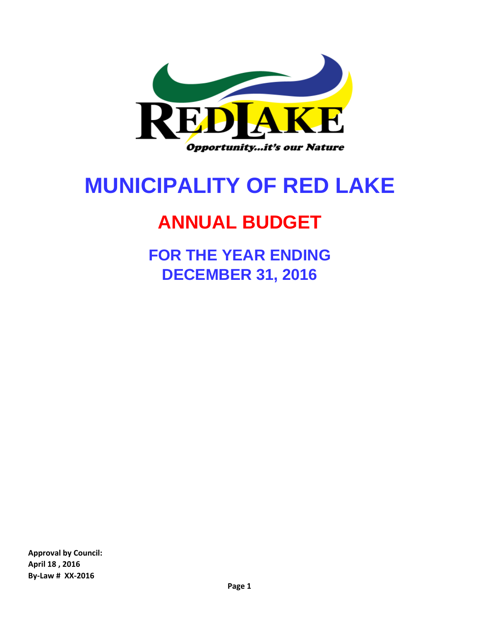

# **MUNICIPALITY OF RED LAKE**

## **ANNUAL BUDGET**

**FOR THE YEAR ENDING DECEMBER 31, 2016**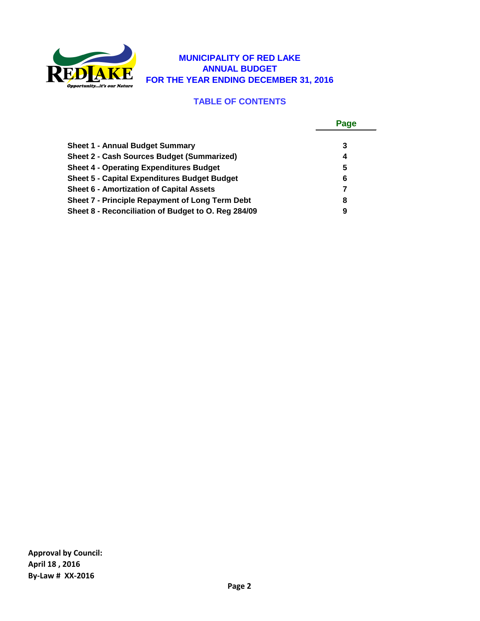

#### **MUNICIPALITY OF RED LAKE ANNUAL BUDGET FOR THE YEAR ENDING DECEMBER 31, 2016**

### **TABLE OF CONTENTS**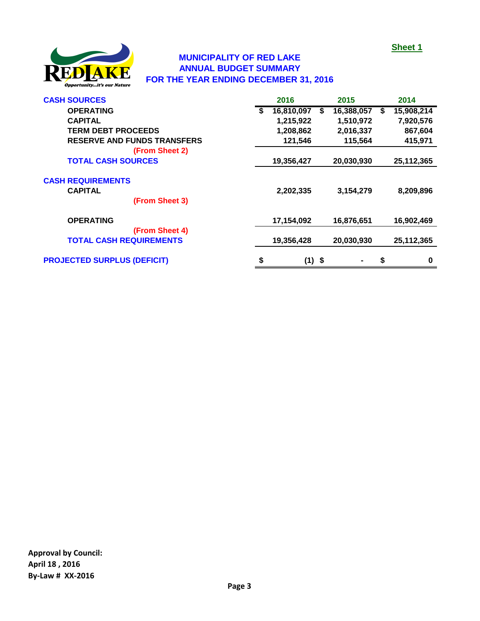

#### **MUNICIPALITY OF RED LAKE ANNUAL BUDGET SUMMARY FOR THE YEAR ENDING DECEMBER 31, 2016**

| <b>CASH SOURCES</b>                | 2016             |   | 2015           |    | 2014       |
|------------------------------------|------------------|---|----------------|----|------------|
| <b>OPERATING</b>                   | \$<br>16,810,097 | S | 16,388,057     | S  | 15,908,214 |
| <b>CAPITAL</b>                     | 1,215,922        |   | 1,510,972      |    | 7,920,576  |
| <b>TERM DEBT PROCEEDS</b>          | 1,208,862        |   | 2,016,337      |    | 867,604    |
| <b>RESERVE AND FUNDS TRANSFERS</b> | 121,546          |   | 115,564        |    | 415,971    |
| (From Sheet 2)                     |                  |   |                |    |            |
| <b>TOTAL CASH SOURCES</b>          | 19,356,427       |   | 20,030,930     |    | 25,112,365 |
| <b>CASH REQUIREMENTS</b>           |                  |   |                |    |            |
| <b>CAPITAL</b>                     | 2,202,335        |   | 3,154,279      |    | 8,209,896  |
| (From Sheet 3)                     |                  |   |                |    |            |
| <b>OPERATING</b>                   | 17,154,092       |   | 16,876,651     |    | 16,902,469 |
| (From Sheet 4)                     |                  |   |                |    |            |
| <b>TOTAL CASH REQUIREMENTS</b>     | 19,356,428       |   | 20,030,930     |    | 25,112,365 |
| <b>PROJECTED SURPLUS (DEFICIT)</b> | \$<br>$(1)$ \$   |   | $\blacksquare$ | \$ | $\bf{0}$   |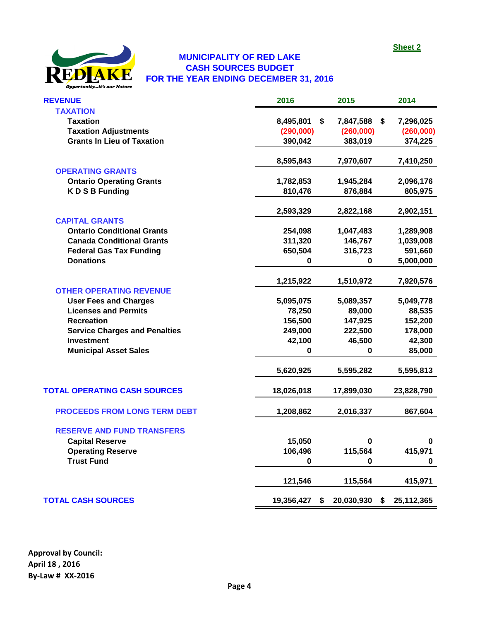

#### **CASH SOURCES BUDGET FOR THE YEAR ENDING DECEMBER 31, 2016 MUNICIPALITY OF RED LAKE**

| <b>REVENUE</b>                       | 2016       | 2015             | 2014             |
|--------------------------------------|------------|------------------|------------------|
| <b>TAXATION</b>                      |            |                  |                  |
| <b>Taxation</b>                      | 8,495,801  | \$<br>7,847,588  | 7,296,025<br>-\$ |
| <b>Taxation Adjustments</b>          | (290,000)  | (260,000)        | (260,000)        |
| <b>Grants In Lieu of Taxation</b>    | 390,042    | 383,019          | 374,225          |
|                                      | 8,595,843  | 7,970,607        | 7,410,250        |
| <b>OPERATING GRANTS</b>              |            |                  |                  |
| <b>Ontario Operating Grants</b>      | 1,782,853  | 1,945,284        | 2,096,176        |
| <b>KDSBFunding</b>                   | 810,476    | 876,884          | 805,975          |
|                                      | 2,593,329  | 2,822,168        | 2,902,151        |
| <b>CAPITAL GRANTS</b>                |            |                  |                  |
| <b>Ontario Conditional Grants</b>    | 254,098    | 1,047,483        | 1,289,908        |
| <b>Canada Conditional Grants</b>     | 311,320    | 146,767          | 1,039,008        |
| <b>Federal Gas Tax Funding</b>       | 650,504    | 316,723          | 591,660          |
| <b>Donations</b>                     | 0          | 0                | 5,000,000        |
|                                      | 1,215,922  | 1,510,972        | 7,920,576        |
| <b>OTHER OPERATING REVENUE</b>       |            |                  |                  |
| <b>User Fees and Charges</b>         | 5,095,075  | 5,089,357        | 5,049,778        |
| <b>Licenses and Permits</b>          | 78,250     | 89,000           | 88,535           |
| <b>Recreation</b>                    | 156,500    | 147,925          | 152,200          |
| <b>Service Charges and Penalties</b> | 249,000    | 222,500          | 178,000          |
| <b>Investment</b>                    | 42,100     | 46,500           | 42,300           |
| <b>Municipal Asset Sales</b>         | 0          | U                | 85,000           |
|                                      | 5,620,925  | 5,595,282        | 5,595,813        |
| <b>TOTAL OPERATING CASH SOURCES</b>  | 18,026,018 | 17,899,030       | 23,828,790       |
| <b>PROCEEDS FROM LONG TERM DEBT</b>  | 1,208,862  | 2,016,337        | 867,604          |
| <b>RESERVE AND FUND TRANSFERS</b>    |            |                  |                  |
| <b>Capital Reserve</b>               | 15,050     | $\mathbf 0$      | $\pmb{0}$        |
| <b>Operating Reserve</b>             | 106,496    | 115,564          | 415,971          |
| <b>Trust Fund</b>                    | 0          | 0                | 0                |
|                                      | 121,546    | 115,564          | 415,971          |
| <b>TOTAL CASH SOURCES</b>            | 19,356,427 | 20,030,930<br>\$ | 25,112,365<br>\$ |
|                                      |            |                  |                  |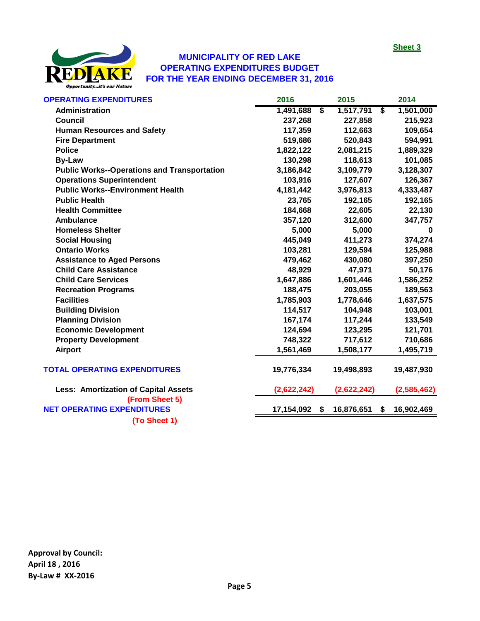

#### **MUNICIPALITY OF RED LAKE OPERATING EXPENDITURES BUDGET FOR THE YEAR ENDING DECEMBER 31, 2016**

| <b>OPERATING EXPENDITURES</b>                       | 2016                                 | 2015                                 | 2014        |
|-----------------------------------------------------|--------------------------------------|--------------------------------------|-------------|
| <b>Administration</b>                               | 1,491,688<br>$\overline{\mathsf{s}}$ | 1,517,791<br>$\overline{\mathbf{s}}$ | 1,501,000   |
| <b>Council</b>                                      | 237,268                              | 227,858                              | 215,923     |
| <b>Human Resources and Safety</b>                   | 117,359                              | 112,663                              | 109,654     |
| <b>Fire Department</b>                              | 519,686                              | 520,843                              | 594,991     |
| <b>Police</b>                                       | 1,822,122                            | 2,081,215                            | 1,889,329   |
| <b>By-Law</b>                                       | 130,298                              | 118,613                              | 101,085     |
| <b>Public Works--Operations and Transportation</b>  | 3,186,842                            | 3,109,779                            | 3,128,307   |
| <b>Operations Superintendent</b>                    | 103,916                              | 127,607                              | 126,367     |
| <b>Public Works--Environment Health</b>             | 4,181,442                            | 3,976,813                            | 4,333,487   |
| <b>Public Health</b>                                | 23,765                               | 192,165                              | 192,165     |
| <b>Health Committee</b>                             | 184,668                              | 22,605                               | 22,130      |
| Ambulance                                           | 357,120                              | 312,600                              | 347,757     |
| <b>Homeless Shelter</b>                             | 5,000                                | 5,000                                | 0           |
| <b>Social Housing</b>                               | 445,049                              | 411,273                              | 374,274     |
| <b>Ontario Works</b>                                | 103,281                              | 129,594                              | 125,988     |
| <b>Assistance to Aged Persons</b>                   | 479,462                              | 430,080                              | 397,250     |
| <b>Child Care Assistance</b>                        | 48,929                               | 47,971                               | 50,176      |
| <b>Child Care Services</b>                          | 1,647,886                            | 1,601,446                            | 1,586,252   |
| <b>Recreation Programs</b>                          | 188,475                              | 203,055                              | 189,563     |
| <b>Facilities</b>                                   | 1,785,903                            | 1,778,646                            | 1,637,575   |
| <b>Building Division</b>                            | 114,517                              | 104,948                              | 103,001     |
| <b>Planning Division</b>                            | 167,174                              | 117,244                              | 133,549     |
| <b>Economic Development</b>                         | 124,694                              | 123,295                              | 121,701     |
| <b>Property Development</b>                         | 748,322                              | 717,612                              | 710,686     |
| <b>Airport</b>                                      | 1,561,469                            | 1,508,177                            | 1,495,719   |
| <b>TOTAL OPERATING EXPENDITURES</b>                 | 19,776,334                           | 19,498,893                           | 19,487,930  |
| <b>Less: Amortization of Capital Assets</b>         | (2,622,242)                          | (2,622,242)                          | (2,585,462) |
| (From Sheet 5)<br><b>NET OPERATING EXPENDITURES</b> | 17,154,092<br>S.                     | 16,876,651<br>\$                     | 16,902,469  |
|                                                     |                                      |                                      |             |

**(To Sheet 1)**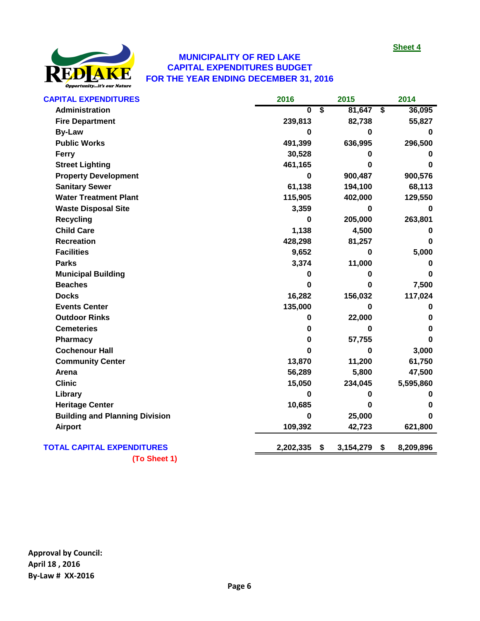

#### **MUNICIPALITY OF RED LAKE CAPITAL EXPENDITURES BUDGET FOR THE YEAR ENDING DECEMBER 31, 2016**

| <b>CAPITAL EXPENDITURES</b>           | 2016      |                         | 2015      |                         | 2014      |
|---------------------------------------|-----------|-------------------------|-----------|-------------------------|-----------|
| <b>Administration</b>                 | $\bf{0}$  | $\overline{\mathbf{s}}$ | 81,647    | $\overline{\mathbf{s}}$ | 36,095    |
| <b>Fire Department</b>                | 239,813   |                         | 82,738    |                         | 55,827    |
| <b>By-Law</b>                         | 0         |                         | 0         |                         | 0         |
| <b>Public Works</b>                   | 491,399   |                         | 636,995   |                         | 296,500   |
| Ferry                                 | 30,528    |                         | 0         |                         | 0         |
| <b>Street Lighting</b>                | 461,165   |                         | 0         |                         | 0         |
| <b>Property Development</b>           | 0         |                         | 900,487   |                         | 900,576   |
| <b>Sanitary Sewer</b>                 | 61,138    |                         | 194,100   |                         | 68,113    |
| <b>Water Treatment Plant</b>          | 115,905   |                         | 402,000   |                         | 129,550   |
| <b>Waste Disposal Site</b>            | 3,359     |                         | 0         |                         | 0         |
| <b>Recycling</b>                      | 0         |                         | 205,000   |                         | 263,801   |
| <b>Child Care</b>                     | 1,138     |                         | 4,500     |                         | 0         |
| <b>Recreation</b>                     | 428,298   |                         | 81,257    |                         | 0         |
| <b>Facilities</b>                     | 9,652     |                         | 0         |                         | 5,000     |
| <b>Parks</b>                          | 3,374     |                         | 11,000    |                         | 0         |
| <b>Municipal Building</b>             | 0         |                         | 0         |                         | 0         |
| <b>Beaches</b>                        | 0         |                         | 0         |                         | 7,500     |
| <b>Docks</b>                          | 16,282    |                         | 156,032   |                         | 117,024   |
| <b>Events Center</b>                  | 135,000   |                         | 0         |                         | 0         |
| <b>Outdoor Rinks</b>                  | 0         |                         | 22,000    |                         | 0         |
| <b>Cemeteries</b>                     | 0         |                         | 0         |                         | 0         |
| Pharmacy                              | 0         |                         | 57,755    |                         | 0         |
| <b>Cochenour Hall</b>                 | 0         |                         | 0         |                         | 3,000     |
| <b>Community Center</b>               | 13,870    |                         | 11,200    |                         | 61,750    |
| Arena                                 | 56,289    |                         | 5,800     |                         | 47,500    |
| <b>Clinic</b>                         | 15,050    |                         | 234,045   |                         | 5,595,860 |
| Library                               | 0         |                         | 0         |                         | 0         |
| <b>Heritage Center</b>                | 10,685    |                         | 0         |                         | 0         |
| <b>Building and Planning Division</b> | 0         |                         | 25,000    |                         |           |
| <b>Airport</b>                        | 109,392   |                         | 42,723    |                         | 621,800   |
| <b>TOTAL CAPITAL EXPENDITURES</b>     | 2,202,335 | \$                      | 3,154,279 | \$                      | 8,209,896 |

**(To Sheet 1)**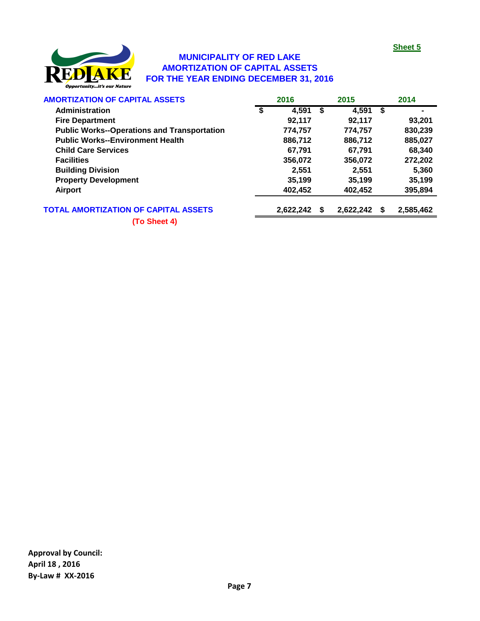

#### **MUNICIPALITY OF RED LAKE AMORTIZATION OF CAPITAL ASSETS FOR THE YEAR ENDING DECEMBER 31, 2016**

| <b>AMORTIZATION OF CAPITAL ASSETS</b>              |   | 2016      |    | 2015      |    | 2014      |
|----------------------------------------------------|---|-----------|----|-----------|----|-----------|
| Administration                                     | S | 4,591     | -S | 4,591     | \$ |           |
| <b>Fire Department</b>                             |   | 92,117    |    | 92,117    |    | 93,201    |
| <b>Public Works--Operations and Transportation</b> |   | 774,757   |    | 774,757   |    | 830,239   |
| <b>Public Works--Environment Health</b>            |   | 886,712   |    | 886,712   |    | 885,027   |
| <b>Child Care Services</b>                         |   | 67,791    |    | 67,791    |    | 68,340    |
| <b>Facilities</b>                                  |   | 356,072   |    | 356,072   |    | 272,202   |
| <b>Building Division</b>                           |   | 2.551     |    | 2.551     |    | 5,360     |
| <b>Property Development</b>                        |   | 35,199    |    | 35,199    |    | 35,199    |
| <b>Airport</b>                                     |   | 402,452   |    | 402,452   |    | 395,894   |
| <b>TOTAL AMORTIZATION OF CAPITAL ASSETS</b>        |   | 2,622,242 | S  | 2,622,242 | S  | 2,585,462 |

**(To Sheet 4)**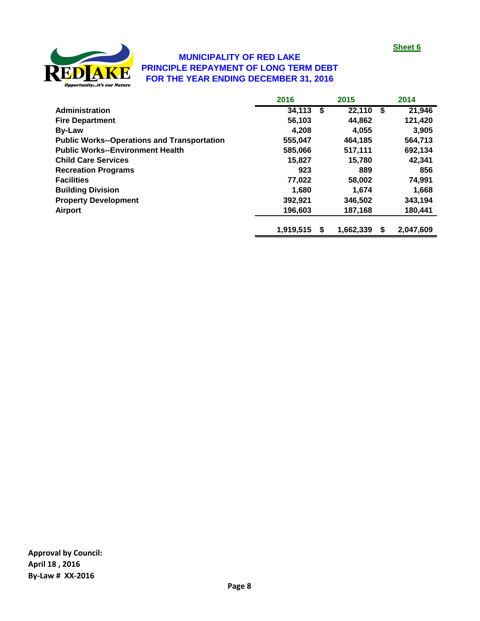

#### **MUNICIPALITY OF RED LAKE PRINCIPLE REPAYMENT OF LONG TERM DEBT FOR THE YEAR ENDING DECEMBER 31, 2016**

|                                                    | 2016      |    | 2015      |    | 2014      |
|----------------------------------------------------|-----------|----|-----------|----|-----------|
| <b>Administration</b>                              | 34,113    | S. | 22,110    | S. | 21,946    |
| <b>Fire Department</b>                             | 56,103    |    | 44,862    |    | 121,420   |
| <b>By-Law</b>                                      | 4.208     |    | 4.055     |    | 3,905     |
| <b>Public Works--Operations and Transportation</b> | 555,047   |    | 464,185   |    | 564,713   |
| <b>Public Works--Environment Health</b>            | 585,066   |    | 517,111   |    | 692,134   |
| <b>Child Care Services</b>                         | 15,827    |    | 15.780    |    | 42,341    |
| <b>Recreation Programs</b>                         | 923       |    | 889       |    | 856       |
| <b>Facilities</b>                                  | 77,022    |    | 58,002    |    | 74,991    |
| <b>Building Division</b>                           | 1.680     |    | 1.674     |    | 1,668     |
| <b>Property Development</b>                        | 392,921   |    | 346.502   |    | 343,194   |
| <b>Airport</b>                                     | 196,603   |    | 187,168   |    | 180,441   |
|                                                    | 1,919,515 | S  | 1,662,339 | \$ | 2,047,609 |